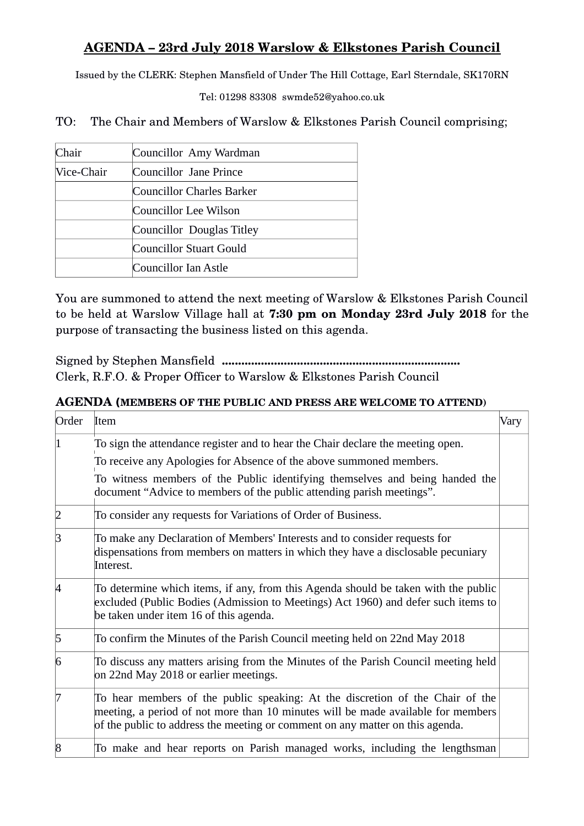## **AGENDA – 23rd July 2018 Warslow & Elkstones Parish Council**

Issued by the CLERK: Stephen Mansfield of Under The Hill Cottage, Earl Sterndale, SK170RN

Tel: 01298 83308 swmde52@yahoo.co.uk

TO: The Chair and Members of Warslow & Elkstones Parish Council comprising;

| Chair      | Councillor Amy Wardman    |
|------------|---------------------------|
| Vice-Chair | Councillor Jane Prince    |
|            | Councillor Charles Barker |
|            | Councillor Lee Wilson     |
|            | Councillor Douglas Titley |
|            | Councillor Stuart Gould   |
|            | Councillor Ian Astle      |

You are summoned to attend the next meeting of Warslow & Elkstones Parish Council to be held at Warslow Village hall at **7:30 pm on Monday 23rd July 2018** for the purpose of transacting the business listed on this agenda.

Signed by Stephen Mansfield **.........................................................................** Clerk, R.F.O. & Proper Officer to Warslow & Elkstones Parish Council

## **AGENDA (MEMBERS OF THE PUBLIC AND PRESS ARE WELCOME TO ATTEND)**

| Order | Item                                                                                                                                                                                                                                               | Vary |
|-------|----------------------------------------------------------------------------------------------------------------------------------------------------------------------------------------------------------------------------------------------------|------|
|       | To sign the attendance register and to hear the Chair declare the meeting open.<br>To receive any Apologies for Absence of the above summoned members.                                                                                             |      |
|       | To witness members of the Public identifying themselves and being handed the<br>document "Advice to members of the public attending parish meetings".                                                                                              |      |
|       | To consider any requests for Variations of Order of Business.                                                                                                                                                                                      |      |
| R     | To make any Declaration of Members' Interests and to consider requests for<br>dispensations from members on matters in which they have a disclosable pecuniary<br>Interest.                                                                        |      |
|       | To determine which items, if any, from this Agenda should be taken with the public<br>excluded (Public Bodies (Admission to Meetings) Act 1960) and defer such items to<br>be taken under item 16 of this agenda.                                  |      |
| 15    | To confirm the Minutes of the Parish Council meeting held on 22nd May 2018                                                                                                                                                                         |      |
| 6     | To discuss any matters arising from the Minutes of the Parish Council meeting held<br>on 22nd May 2018 or earlier meetings.                                                                                                                        |      |
|       | To hear members of the public speaking: At the discretion of the Chair of the<br>meeting, a period of not more than 10 minutes will be made available for members<br>of the public to address the meeting or comment on any matter on this agenda. |      |
| R     | To make and hear reports on Parish managed works, including the lengthsman                                                                                                                                                                         |      |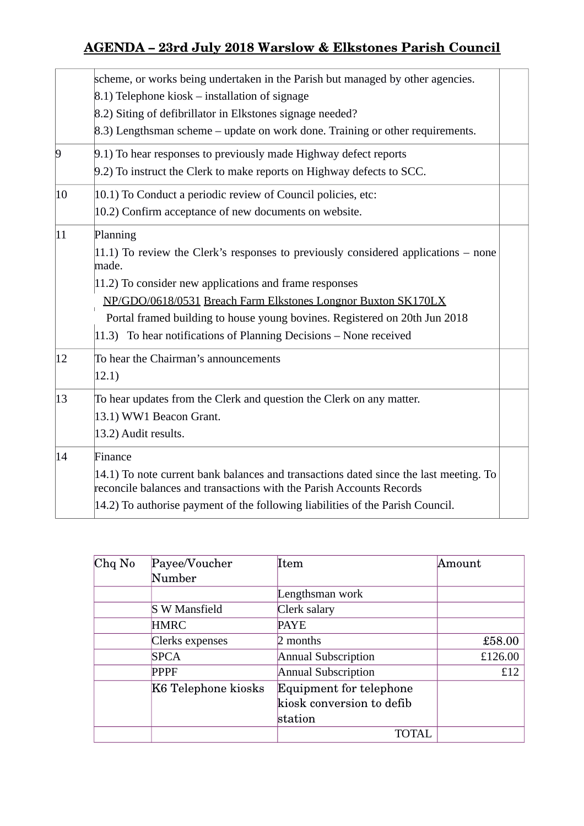## **AGENDA – 23rd July 2018 Warslow & Elkstones Parish Council**

|              | scheme, or works being undertaken in the Parish but managed by other agencies.                                                                                |  |
|--------------|---------------------------------------------------------------------------------------------------------------------------------------------------------------|--|
|              | 8.1) Telephone kiosk – installation of signage                                                                                                                |  |
|              | 8.2) Siting of defibrillator in Elkstones signage needed?                                                                                                     |  |
|              | 8.3) Lengthsman scheme – update on work done. Training or other requirements.                                                                                 |  |
| $\vert 9$    | 9.1) To hear responses to previously made Highway defect reports                                                                                              |  |
|              | 9.2) To instruct the Clerk to make reports on Highway defects to SCC.                                                                                         |  |
| 10           | 10.1) To Conduct a periodic review of Council policies, etc:                                                                                                  |  |
|              | 10.2) Confirm acceptance of new documents on website.                                                                                                         |  |
| $ 11\rangle$ | Planning                                                                                                                                                      |  |
|              | 11.1) To review the Clerk's responses to previously considered applications $-$ none<br>made.                                                                 |  |
|              | 11.2) To consider new applications and frame responses                                                                                                        |  |
|              | NP/GDO/0618/0531 Breach Farm Elkstones Longnor Buxton SK170LX                                                                                                 |  |
|              | Portal framed building to house young bovines. Registered on 20th Jun 2018                                                                                    |  |
|              | $ 11.3\rangle$ To hear notifications of Planning Decisions - None received                                                                                    |  |
| 12           | To hear the Chairman's announcements                                                                                                                          |  |
|              | 12.1)                                                                                                                                                         |  |
| 13           | To hear updates from the Clerk and question the Clerk on any matter.                                                                                          |  |
|              | 13.1) WW1 Beacon Grant.                                                                                                                                       |  |
|              | 13.2) Audit results.                                                                                                                                          |  |
| 14           | Finance                                                                                                                                                       |  |
|              | 14.1) To note current bank balances and transactions dated since the last meeting. To<br>reconcile balances and transactions with the Parish Accounts Records |  |
|              | 14.2) To authorise payment of the following liabilities of the Parish Council.                                                                                |  |
|              |                                                                                                                                                               |  |

| $Chq$ No | Payee/Voucher        | Item                           | Amount  |
|----------|----------------------|--------------------------------|---------|
|          | Number               |                                |         |
|          |                      | Lengthsman work                |         |
|          | <b>S W Mansfield</b> | Clerk salary                   |         |
|          | <b>HMRC</b>          | <b>PAYE</b>                    |         |
|          | Clerks expenses      | 2 months                       | £58.00  |
|          | <b>SPCA</b>          | Annual Subscription            | £126.00 |
|          | <b>PPPF</b>          | <b>Annual Subscription</b>     | £12     |
|          | K6 Telephone kiosks  | <b>Equipment for telephone</b> |         |
|          |                      | kiosk conversion to defib      |         |
|          |                      | station                        |         |
|          |                      |                                |         |